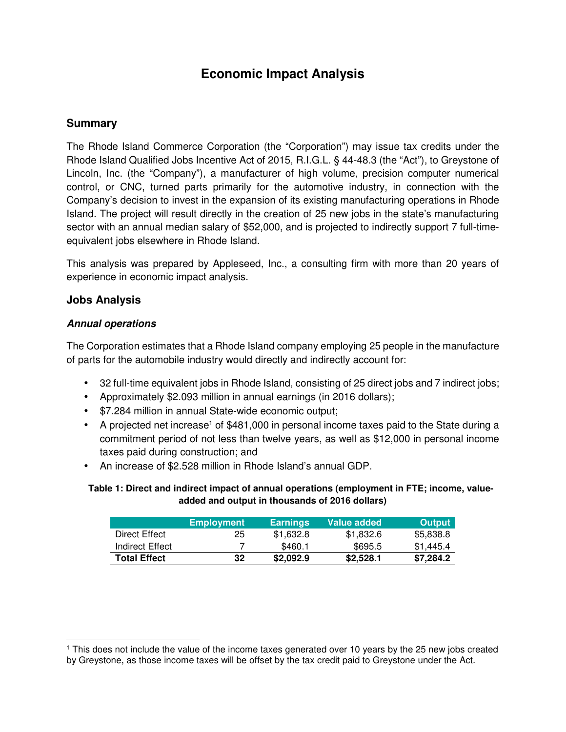# **Economic Impact Analysis**

## **Summary**

The Rhode Island Commerce Corporation (the "Corporation") may issue tax credits under the Rhode Island Qualified Jobs Incentive Act of 2015, R.I.G.L. § 44-48.3 (the "Act"), to Greystone of Lincoln, Inc. (the "Company"), a manufacturer of high volume, precision computer numerical control, or CNC, turned parts primarily for the automotive industry, in connection with the Company's decision to invest in the expansion of its existing manufacturing operations in Rhode Island. The project will result directly in the creation of 25 new jobs in the state's manufacturing sector with an annual median salary of \$52,000, and is projected to indirectly support 7 full-timeequivalent jobs elsewhere in Rhode Island.

This analysis was prepared by Appleseed, Inc., a consulting firm with more than 20 years of experience in economic impact analysis.

### **Jobs Analysis**

 $\overline{a}$ 

#### **Annual operations**

The Corporation estimates that a Rhode Island company employing 25 people in the manufacture of parts for the automobile industry would directly and indirectly account for:

- 32 full-time equivalent jobs in Rhode Island, consisting of 25 direct jobs and 7 indirect jobs;
- Approximately \$2.093 million in annual earnings (in 2016 dollars);
- \$7.284 million in annual State-wide economic output;
- A projected net increase<sup>1</sup> of \$481,000 in personal income taxes paid to the State during a commitment period of not less than twelve years, as well as \$12,000 in personal income taxes paid during construction; and
- An increase of \$2.528 million in Rhode Island's annual GDP.

#### **Table 1: Direct and indirect impact of annual operations (employment in FTE; income, valueadded and output in thousands of 2016 dollars)**

|                     | <b>Employment</b> | <b>Earnings</b> | Value added | <b>Output</b> |
|---------------------|-------------------|-----------------|-------------|---------------|
| Direct Effect       | 25                | \$1.632.8       | \$1.832.6   | \$5,838.8     |
| Indirect Effect     |                   | \$460.1         | \$695.5     | \$1.445.4     |
| <b>Total Effect</b> | 32                | \$2,092.9       | \$2,528.1   | \$7.284.2     |

<sup>1</sup> This does not include the value of the income taxes generated over 10 years by the 25 new jobs created by Greystone, as those income taxes will be offset by the tax credit paid to Greystone under the Act.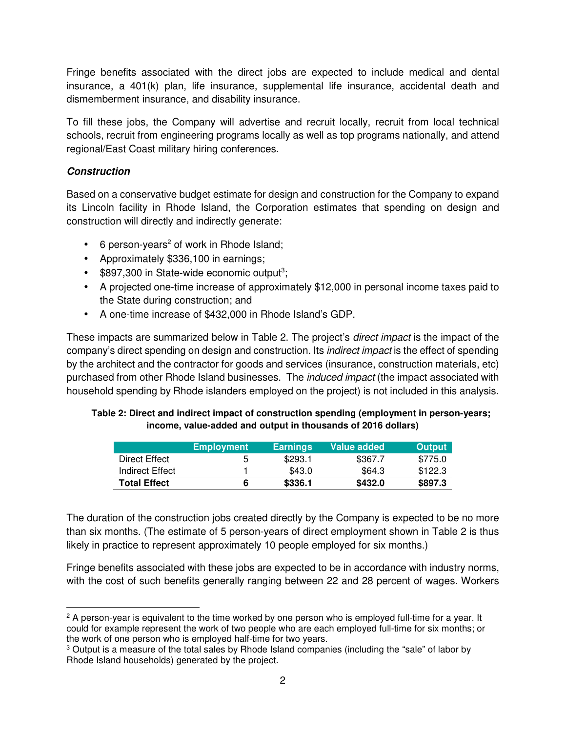Fringe benefits associated with the direct jobs are expected to include medical and dental insurance, a 401(k) plan, life insurance, supplemental life insurance, accidental death and dismemberment insurance, and disability insurance.

To fill these jobs, the Company will advertise and recruit locally, recruit from local technical schools, recruit from engineering programs locally as well as top programs nationally, and attend regional/East Coast military hiring conferences.

## **Construction**

 $\overline{a}$ 

Based on a conservative budget estimate for design and construction for the Company to expand its Lincoln facility in Rhode Island, the Corporation estimates that spending on design and construction will directly and indirectly generate:

- $\bullet$  6 person-years<sup>2</sup> of work in Rhode Island;
- Approximately \$336,100 in earnings;
- $\bullet$  \$897,300 in State-wide economic output<sup>3</sup>;
- A projected one-time increase of approximately \$12,000 in personal income taxes paid to the State during construction; and
- A one-time increase of \$432,000 in Rhode Island's GDP.

These impacts are summarized below in Table 2. The project's *direct impact* is the impact of the company's direct spending on design and construction. Its indirect impact is the effect of spending by the architect and the contractor for goods and services (insurance, construction materials, etc) purchased from other Rhode Island businesses. The *induced impact* (the impact associated with household spending by Rhode islanders employed on the project) is not included in this analysis.

#### **Table 2: Direct and indirect impact of construction spending (employment in person-years; income, value-added and output in thousands of 2016 dollars)**

|                     | <b>Employment</b> | <b>Earnings</b> | Value added | <b>Output</b> |
|---------------------|-------------------|-----------------|-------------|---------------|
| Direct Effect       |                   | \$293.1         | \$367.7     | \$775.0       |
| Indirect Effect     |                   | \$43.0          | \$64.3      | \$122.3       |
| <b>Total Effect</b> |                   | \$336.1         | \$432.0     | \$897.3       |

The duration of the construction jobs created directly by the Company is expected to be no more than six months. (The estimate of 5 person-years of direct employment shown in Table 2 is thus likely in practice to represent approximately 10 people employed for six months.)

Fringe benefits associated with these jobs are expected to be in accordance with industry norms, with the cost of such benefits generally ranging between 22 and 28 percent of wages. Workers

 $^{\text{2}}$  A person-year is equivalent to the time worked by one person who is employed full-time for a year. It could for example represent the work of two people who are each employed full-time for six months; or the work of one person who is employed half-time for two years.

 $^{\rm 3}$  Output is a measure of the total sales by Rhode Island companies (including the "sale" of labor by Rhode Island households) generated by the project.